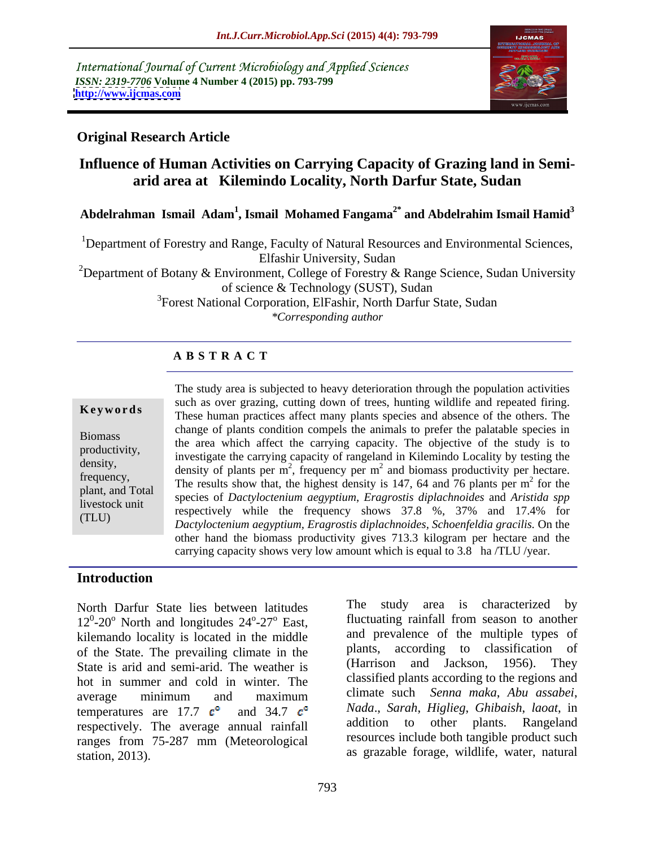International Journal of Current Microbiology and Applied Sciences *ISSN: 2319-7706* **Volume 4 Number 4 (2015) pp. 793-799 <http://www.ijcmas.com>**



### **Original Research Article**

# **Influence of Human Activities on Carrying Capacity of Grazing land in Semi arid area at Kilemindo Locality, North Darfur State, Sudan**

Abdelrahman Ismail Adam<sup>1</sup>, Ismail Mohamed Fangama<sup>2\*</sup> and Abdelrahim Ismail Hamid<sup>3</sup>

1Department of Forestry and Range, Faculty of Natural Resources and Environmental Sciences, Elfashir University, Sudan

<sup>2</sup>Department of Botany & Environment, College of Forestry & Range Science, Sudan University of science & Technology (SUST), Sudan

<sup>3</sup>Forest National Corporation, ElFashir, North Darfur State, Sudan *\*Corresponding author*

## **A B S T R A C T**

(TLU)

The study area is subjected to heavy deterioration through the population activities such as over grazing, cutting down of trees, hunting wildlife and repeated firing. These human practices affect many plants species and absence of the others. The change of plants condition compels the animals to prefer the palatable species in Biomass<br>the area which affect the carrying capacity. The objective of the study is to productivity,<br>
investigate the carrying capacity of rangeland in Kilemindo Locality by testing the density,<br>
density of plants per m<sup>2</sup>, frequency per m<sup>2</sup> and biomass productivity per hectare. The results show that, the highest density is 147, 64 and 76 plants per m<sup>2</sup> for the results show that, the highest density is 147, 64 and 76 plants per m<sup>2</sup> for the  $^2$  for the for the species of *Dactyloctenium aegyptium*, *Eragrostis diplachnoides* and *Aristida spp* plant, and Total livestock unit<br>respectively while the frequency shows  $37.8\%$ ,  $37\%$  and  $17.4\%$  for *Dactyloctenium aegyptium, Eragrostis diplachnoides, Schoenfeldia gracilis.* On the other hand the biomass productivity gives 713.3 kilogram per hectare and the **Example 19 Sect amove the set of the shows very difference in the shows of the shows very low amount which is the area which affect the carrying capacity. The objective of the study is to productivity, investigate the ca** 

### **Introduction**

North Darfur State lies between latitudes  $12^{\circ}$ -20<sup>o</sup> North and longitudes  $24^{\circ}$ -27<sup>o</sup> East, fluctuating rainfall from season to another kilemando locality is located in the middle of the State. The prevailing climate in the plants, according to classification of State is arid and semi-arid The weather is (Harrison and Jackson, 1956). They State is arid and semi-arid. The weather is hot in summer and cold in winter. The average minimum and maximum climate such Senna-maka, Abu assabei, temperatures are 17.7  $c^{\circ}$  and 34.7  $c^{\circ}$ respectively. The average annual rainfall ranges from 75-287 mm (Meteorological station, 2013). as grazable forage, wildlife, water, natural

<sup>o</sup>-27<sup>o</sup> East, fluctuating rainfall from season to another The study area is characterized by and prevalence of the multiple types of plants, according to classification of (Harrison and Jackson, 1956). They classified plants according to the regions and climate such *Senna maka*, *Abu assabei*, *Nada*., *Sarah*, *Higlieg*, *Ghibaish*, *laoat*, in addition to other plants. Rangeland resources include both tangible product such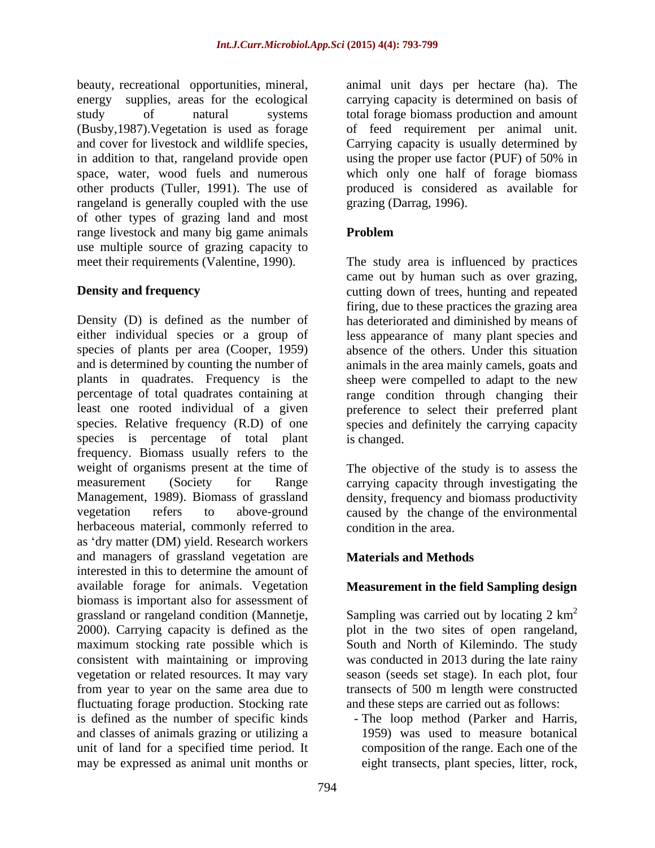other products (Tuller, 1991). The use of rangeland is generally coupled with the use of other types of grazing land and most range livestock and many big game animals **Problem** use multiple source of grazing capacity to

Density (D) is defined as the number of has deteriorated and diminished by means of either individual species or a group of less appearance of many plant species and species of plants per area (Cooper, 1959) absence of the others. Under this situation and is determined by counting the number of animals in the area mainly camels, goats and plants in quadrates. Frequency is the sheep were compelled to adapt to the new percentage of total quadrates containing at range condition through changing their least one rooted individual of a given preference to select their preferred plant species. Relative frequency (R.D) of one species and definitely the carrying capacity species is percentage of total plant is changed. frequency. Biomass usually refers to the weight of organisms present at the time of The objective of the study is to assess the measurement (Society for Range carrying capacity through investigating the Management, 1989). Biomass of grassland density, frequency and biomass productivity vegetation refers to above-ground caused by the change of the environmental herbaceous material, commonly referred to as 'dry matter (DM) yield. Research workers and managers of grassland vegetation are **Materials and Methods** interested in this to determine the amount of available forage for animals. Vegetation **Measurement in the field Sampling design** biomass is important also for assessment of grassland or rangeland condition (Mannetje, Sampling was carried out by locating  $2 \text{ km}^2$ 2000). Carrying capacity is defined as the maximum stocking rate possible which is consistent with maintaining or improving was conducted in 2013 during the late rainy vegetation or related resources. It may vary season (seeds set stage). In each plot, four from year to year on the same area due to transects of 500 m length were constructed fluctuating forage production. Stocking rate is defined as the number of specific kinds and classes of animals grazing or utilizing a unit of land for a specified time period. It may be expressed as animal unit months or

beauty, recreational opportunities, mineral, animal unit days per hectare (ha). The energy supplies, areas for the ecological carrying capacity is determined on basis of study of natural systems total forage biomass production and amount (Busby,1987).Vegetation is used as forage of feed requirement per animal unit. and cover for livestock and wildlife species, Carrying capacity is usually determined by in addition to that, rangeland provide open using the proper use factor (PUF) of 50% in space, water, wood fuels and numerous which only one half of forage biomass animal unit days per hectare (ha). The carrying capacity is determined on basis of produced is considered as available for grazing (Darrag, 1996).

## **Problem**

meet their requirements (Valentine, 1990). The study area is influenced by practices **Density and frequency** extracting down of trees, hunting and repeated came out by human such as over grazing, firing, due to these practices the grazing area is changed.

condition in the area.

## **Materials and Methods**

Sampling was carried out by locating 2  $km^2$ 2 plot in the two sites of open rangeland, South and North of Kilemindo. The study and these steps are carried out as follows:

- The loop method (Parker and Harris, 1959) was used to measure botanical composition of the range. Each one of the eight transects, plant species, litter, rock,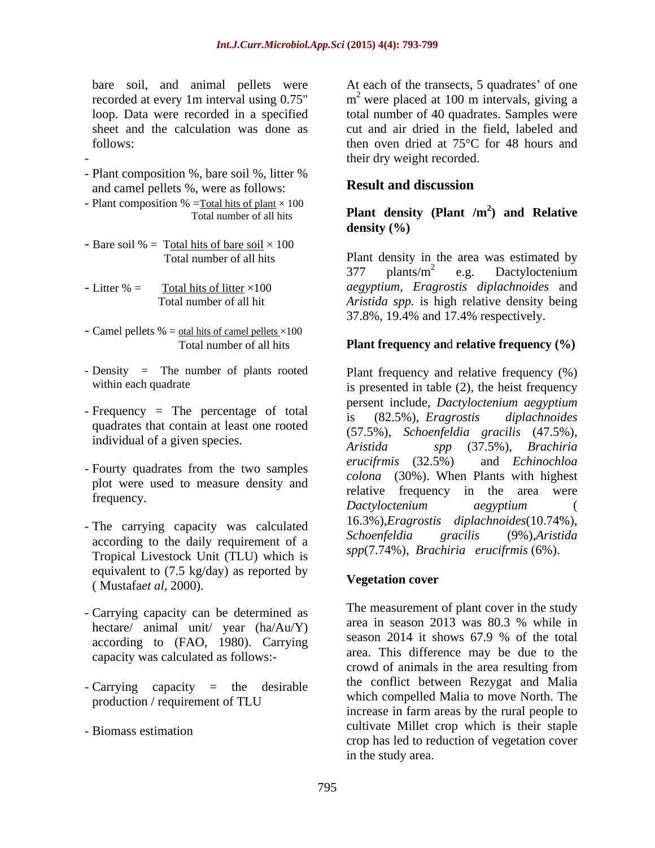- Plant composition %, bare soil %, litter %<br>and camel pellets %, were as follows:<br>**Result and discussion** and camel pellets %, were as follows:
- Plant composition % =<u>Total hits of plant</u>  $\times$  100<br>Total number of all hits **Plant density (Plant /m<sup>2</sup>) and Relative**
- 

- $37.8\%$ , 19.4% and 17.4% respectively.<br>- Camel pellets % = <u>otal hits of camel pellets</u> ×100
- 
- quadrates that contain at least one rooted
- plot were used to measure density and
- according to the daily requirement of a Tropical Livestock Unit (TLU) which is equivalent to  $(7.5 \text{ kg/day})$  as reported by<br> **Example 2000** ( Mustafa*et al,* 2000).
- Carrying capacity can be determined as according to (FAO, 1980). Carrying capacity was calculated as follows:-
- Carrying capacity = the desirable
- 

bare soil, and animal pellets were At each of the transects, 5 quadrates' of one recorded at every 1m interval using  $0.75$ " m<sup>2</sup> were placed at 100 m intervals, giving a loop. Data were recorded in a specified total number of 40 quadrates. Samples were sheet and the calculation was done as cut and air dried in the field, labeled and follows: then oven dried at 75<sup>o</sup>C for 48 hours and - their dry weight recorded.

## **Result and discussion**

### Total number of all hits **Plant density** (**Plant /m** ) and **Kelative**<br>density (%)<br>- Bare soil % = T<u>otal hits of bare soil</u> × 100 **Plant density (Plant /m**  $^{2}$  and **D**elative **) and Relative density (%)**

 Total number of all hits Plant density in the area was estimated by - Litter % = Total hits of litter ×100 *aegyptium*, *Eragrostis diplachnoides* and Total number of all hit *Aristida spp.* is high relative density being  $377$  plants/m<sup>2</sup> e.g. Dactyloctenium  $\frac{2}{2}$  a.g. Dectylectorium e.g. Dactyloctenium 37.8%, 19.4% and 17.4% respectively.

### Total number of all hits **Plant frequency an**d **relative frequency (%)**

- Density = The number of plants rooted Plant frequency and relative frequency  $(\%)$ within each quadrate is presented in table (2), the heist frequency  $\text{Frequency} = \text{The percentage of total}$  is (82.5%), *Eragrostis diplachnoides* individual of a given species.<br>Aristida  $\begin{array}{c} (57.5\%)$ , Schoenfeld  $\end{array}$   $\begin{array}{c} (37.5\%)$ , Brachiria - Fourty quadrates from the two samples  $\frac{error \cdot (32.5\%)}{1 - (20\%)}$  and Echinochloa frequency. The area were<br>frequency. The contribution of the area were The carrying capacity was calculated<br>Schoenfeldia gracilis (9%), Aristida<br>seconding to the delay negative of a Schoenfeldia gracilis (9%), Aristida persent include, *Dactyloctenium aegyptium* is (82.5%), *Eragrostis diplachnoides* (57.5%), *Schoenfeldia gracilis* (47.5%), *Aristida spp* (37.5%), *Brachiria erucifrmis* (32.5%) and *Echinochloa colona* (30%). When Plants with highest *Dactyloctenium aegyptium* ( 16.3%),*Eragrostis diplachnoides*(10.74%), *Schoenfeldia gracilis* (9%),*Aristida spp*(7.74%), *Brachiria erucifrmis* (6%).

### **Vegetation cover**

hectare/ animal unit/ year  $(ha/Au/Y)$  area in season 2013 was 80.3 % while in<br>season 2014 it shows 67.9 % of the total production / requirement of TLU will be written competied Mail to move North. The - Biomass estimation and the culture of the culture of the culture of the stape of the stape of the stape of the stape of the stape of the stape of the stape of the stape of the stape of the stape of the stape of the stape The measurement of plant cover in the study area in season 2013 was 80.3 % while in season 2014 it shows 67.9 % of the total area. This difference may be due to the crowd of animals in the area resulting from the conflict between Rezygat and Malia which compelled Malia to move North. The increase in farm areas by the rural people to cultivate Millet crop which is their staple crop has led to reduction of vegetation cover in the study area.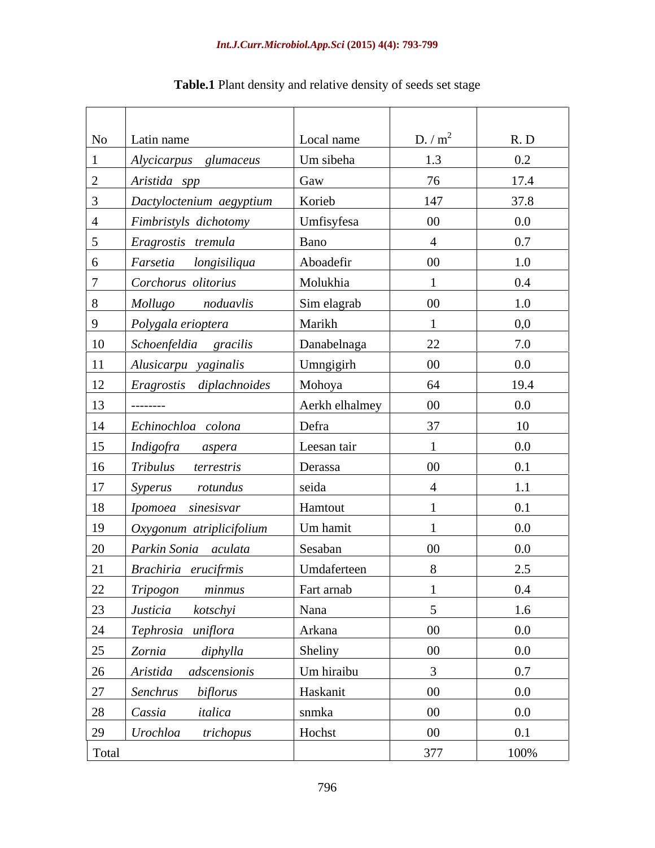| No    | Latin name                    | Local name     | D. $/m^2$       | R. D    |
|-------|-------------------------------|----------------|-----------------|---------|
|       | Alycicarpus glumaceus         | Um sibeha      | 1.3             | $0.2\,$ |
|       | Aristida spp                  | Gaw            | 76              | 17.4    |
|       | Dactyloctenium aegyptium      | Korieb         | 147             | 37.8    |
|       | Fimbristyls dichotomy         | Umfisyfesa     | $00\,$          | $0.0\,$ |
|       | Eragrostis tremula            | Bano           | $\overline{4}$  | 0.7     |
|       | Farsetia longisiliqua         | Aboadefir      | $00\,$          | 1.0     |
|       | Corchorus olitorius           | Molukhia       |                 | 0.4     |
| 8     | Mollugo noduavlis             | Sim elagrab    | $00\,$          | 1.0     |
| 9     | Polygala erioptera            | Marikh         |                 | 0,0     |
| 10    | Schoenfeldia gracilis         | Danabelnaga    | 22              | 7.0     |
|       | 11 Alusicarpu yaginalis       | Umngigirh      | $00\,$          | $0.0\,$ |
|       | 12   Eragrostis diplachnoides | Mohoya         | 64              | 19.4    |
| 13    | ___________                   | Aerkh elhalmey | $00\,$          | $0.0\,$ |
| 14    | Echinochloa colona            | Defra          | 37              | 10      |
| 15    | Indigofra aspera              | Leesan tair    |                 | $0.0\,$ |
| 16    | Tribulus terrestris           | Derassa        | $00\,$          | 0.1     |
| 17    | Syperus<br>rotundus           | seida          |                 | 1.1     |
|       | 18 <i>Ipomoea sinesisvar</i>  | Hamtout        |                 | 0.1     |
| 19    | Oxygonum atriplicifolium      | Um hamit       |                 | $0.0\,$ |
| 20    | Parkin Sonia aculata          | Sesaban        | $00\,$          | $0.0\,$ |
| 21    | Brachiria erucifrmis          | Umdaferteen    |                 | 2.5     |
|       | 22 Tripogon<br>minmus         | Fart arnab     |                 | $0.4\,$ |
|       | 23 <i>Justicia kotschyi</i>   | Nana           | $5\overline{)}$ | 1.6     |
|       | 24 Tephrosia uniflora         | Arkana         | $00\,$          | $0.0\,$ |
|       | 25 Zornia diphylla            | Sheliny        | $00\,$          | $0.0\,$ |
|       | 26 Aristida adscensionis      | Um hiraibu     |                 | 0.7     |
|       | 27 Senchrus biflorus          | Haskanit       | $00\,$          | $0.0\,$ |
|       | 28 Cassia italica             | snmka          | $00\,$          | $0.0\,$ |
|       | 29 <i>Urochloa trichopus</i>  | Hochst         | $00\,$          | 0.1     |
| Total |                               |                | 377             | 100%    |

# **Table.1** Plant density and relative density of seeds set stage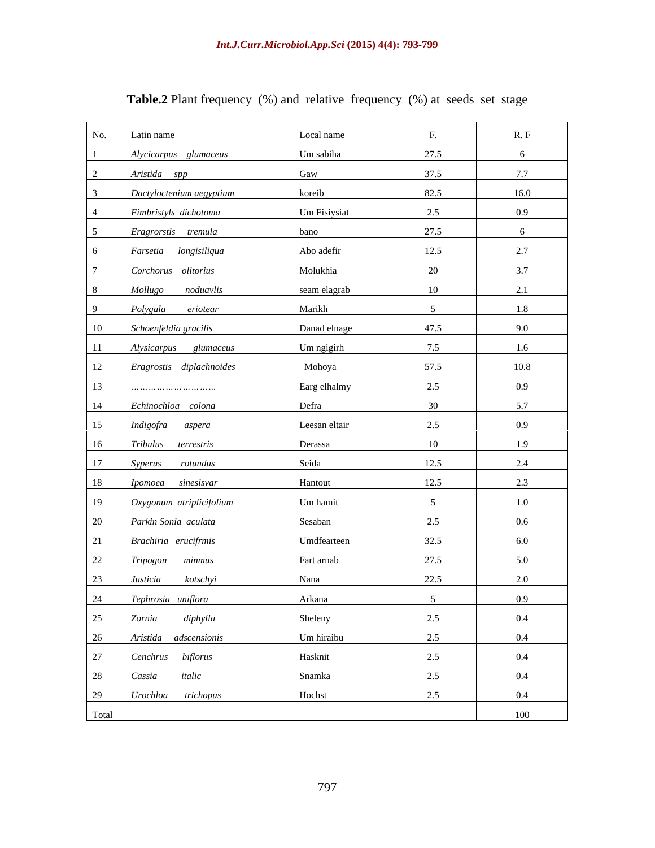| No.<br>Latin name                                    | Local name    | F.     | R. F             |
|------------------------------------------------------|---------------|--------|------------------|
| Alycicarpus glumaceus                                | Um sabiha     | 27.5   | 6                |
| Aristida spp<br>$\overline{2}$                       | Gaw           | 37.5   | 7.7              |
| Dactyloctenium aegyptium<br>$\mathbf{3}$             | koreib        | 82.5   | 16.0             |
| Fimbristyls dichotoma<br>$\overline{4}$              | Um Fisiysiat  | 2.5    | 0.9              |
| 5 <sup>5</sup><br>Eragrorstis tremula                | bano          | 27.5   | 6                |
| 6<br>Farsetia longisiliqua                           | Abo adefir    | 12.5   | 2.7              |
| $7\overline{ }$<br>Corchorus olitorius               | Molukhia      | 20     | 3.7              |
| 8 <sup>8</sup><br>Mollugo<br>noduavlis               | seam elagrab  | 10     | 2.1              |
| 9<br>Polygala eriotear                               | Marikh        | 5      | 1.8              |
| 10<br>Schoenfeldia gracilis                          | Danad elnage  | 47.5   | 9.0              |
| 11<br>Alysicarpus glumaceus                          | Um ngigirh    | 7.5    | 1.6              |
| 12<br>Eragrostis diplachnoides                       | Mohoya        | 57.5   | 10.8             |
| 13                                                   | Earg elhalmy  | 2.5    | 0.9              |
| 14<br>Echinochloa colona                             | Defra         | 30     | 5.7              |
| 15<br>Indigofra aspera                               | Leesan eltair | 2.5    | 0.9              |
| 16<br>Tribulus terrestris                            | Derassa       | 10     | 1.9              |
| 17<br>Syperus rotundus                               | Seida         | 12.5   | 2.4              |
| 18<br>Ipomoea sinesisvar                             | Hantout       | 12.5   | 2.3              |
| 19<br>Oxygonum atriplicifolium                       | Um hamit      | 5      | 1.0              |
| 20<br>Parkin Sonia aculata                           | Sesaban       | 2.5    | $0.6\,$          |
| 21<br>Brachiria erucifrmis                           | Umdfearteen   | 32.5   | 6.0              |
| 22<br>Tripogon minmus                                | Fart arnab    | 27.5   | 5.0              |
| 23<br>kotschyi<br>Justicia                           | Nana          | 22.5   | 2.0              |
| 24<br>Tephrosia uniflora<br>$\overline{\phantom{a}}$ | Arkana        | $\sim$ | 0.9 <sup>°</sup> |
| 25<br>diphylla<br>Zornia                             | Sheleny       | 2.5    | 0.4              |
| 26<br>Aristida adscensionis                          | Um hiraibu    | 2.5    | $0.4\,$          |
| 27<br>Cenchrus biflorus                              | Hasknit       | 2.5    | 0.4              |
| 28<br>Cassia italic                                  | Snamka        | 2.5    | 0.4              |
| 29<br>Urochloa trichopus                             | Hochst        | 2.5    | 0.4              |
| Total                                                |               |        | 100              |

# **Table.2** Plant frequency (%) and relative frequency (%) at seeds set stage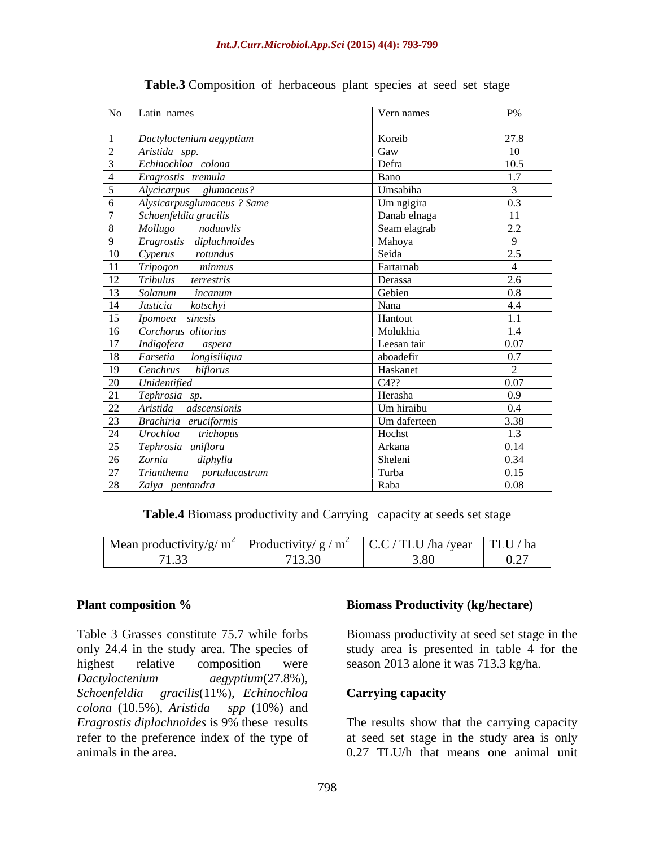| No Latin names                                       | Vern names   | $\rm P\%$       |
|------------------------------------------------------|--------------|-----------------|
| Dactyloctenium aegyptium                             | Koreib       | 27.8            |
| Aristida spp.                                        | Gaw          | 10 <sup>1</sup> |
| Echinochloa colona                                   | Defra        | 10.5            |
| Eragrostis tremula                                   | Bano         | 1.7             |
| Alycicarpus glumaceus?                               | Umsabiha     |                 |
|                                                      | Um ngigira   | 0.3             |
| Alysicarpusglumaceus ? Same<br>Schoenfeldia gracilis | Danab elnaga | $-11$           |
| Mollugo noduavlis                                    | Seam elagrab | 2.2             |
| Eragrostis diplachnoides                             | Mahoya       |                 |
| 10 Cyperus rotundus                                  | Seida        | 2.5             |
| 11 Tripogon<br>minmus                                | Fartarnab    |                 |
| 12 Tribulus terrestris                               | Derassa      | 2.6             |
| 13 Solanum<br>incanum                                | Gebien       | 0.8             |
| 14   Justicia kotschyi                               | Nana         | 4.4             |
| 15 <i>Ipomoea sinesis</i>                            | Hantout      | 1.1             |
| 16 Corchorus olitorius                               | Molukhia     | 1.4             |
| 17 Indigofera aspera                                 | Leesan tair  | 0.07            |
| 18   Farsetia longisiliqua                           | aboadefir    | 0.7             |
| 19   Cenchrus biflorus                               | Haskanet     | $\sim$          |
| 20 Unidentified                                      | C4??         | 0.07            |
| 21 Tephrosia sp.                                     | Herasha      | 0.9             |
| 22   Aristida adscensionis                           | Um hiraibu   | $0.4\,$         |
| 23   Brachiria eruciformis                           | Um daferteen | 3.38            |
| 24 <i>Urochloa trichopus</i>                         | Hochst       | 1.3             |
| 25 Tephrosia uniflora                                | Arkana       | 0.14            |
| 26 Zornia<br>diphylla                                | Sheleni      | 0.34            |
| 27 Trianthema portulacastrum                         | Turba        | 0.15            |
| 28 Zalya pentandra                                   | Raba         | 0.08            |

### **Table.3** Composition of herbaceous plant species at seed set stage

**Table.4** Biomass productivity and Carrying capacity at seeds set stage

| $\vert$ Mean productivity/<br>m<br>′ ≻ | Productivity/ $g /$<br>$\cdot$ m $^{-}$<br>$\sqrt{111}$ | $\sim$ $\sim$<br>-----<br>N <sub>1</sub><br>na.<br>1 L U<br>y vui | TLU/<br>/ hr<br>- па                                       |
|----------------------------------------|---------------------------------------------------------|-------------------------------------------------------------------|------------------------------------------------------------|
| $\sim$<br>.                            | 712.20<br>.<br>.                                        |                                                                   | .<br>$\mathbf{u}$<br>$\cup \cdot \overline{\phantom{0}}$ . |

Table 3 Grasses constitute 75.7 while forbs Biomass productivity at seed set stage in the only 24.4 in the study area. The species of study area is presented in table 4 for the highest relative composition were season 2013 alone it was 713.3 kg/ha. *Dactyloctenium aegyptium*(27.8%), *Schoenfeldia gracilis*(11%), *Echinochloa colona* (10.5%), *Aristida spp* (10%) and *Eragrostis diplachnoides* is 9% these results The results show that the carrying capacity refer to the preference index of the type of at seed set stage in the study area is only animals in the area. 0.27 TLU/h that means one animal unit

### **Plant composition % biomass Productivity (kg/hectare) Biomass Productivity (kg/hectare)**

### **Carrying capacity**